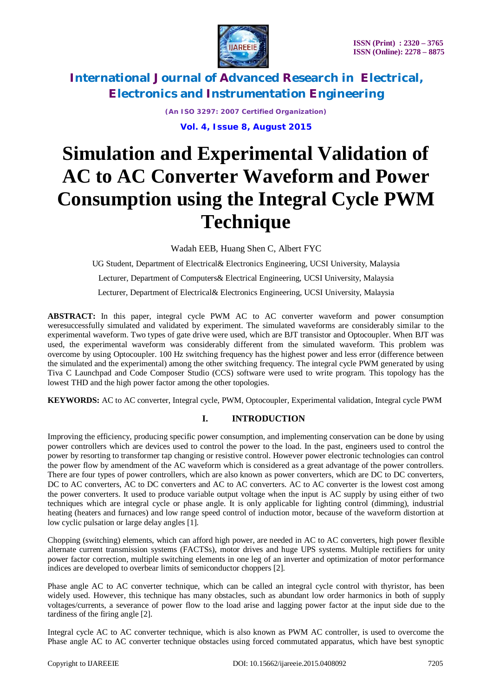

*(An ISO 3297: 2007 Certified Organization)* **Vol. 4, Issue 8, August 2015**

# **Simulation and Experimental Validation of AC to AC Converter Waveform and Power Consumption using the Integral Cycle PWM Technique**

Wadah EEB, Huang Shen C, Albert FYC

UG Student, Department of Electrical& Electronics Engineering, UCSI University, Malaysia Lecturer, Department of Computers& Electrical Engineering, UCSI University, Malaysia Lecturer, Department of Electrical& Electronics Engineering, UCSI University, Malaysia

**ABSTRACT:** In this paper, integral cycle PWM AC to AC converter waveform and power consumption weresuccessfully simulated and validated by experiment. The simulated waveforms are considerably similar to the experimental waveform. Two types of gate drive were used, which are BJT transistor and Optocoupler. When BJT was used, the experimental waveform was considerably different from the simulated waveform. This problem was overcome by using Optocoupler. 100 Hz switching frequency has the highest power and less error (difference between the simulated and the experimental) among the other switching frequency. The integral cycle PWM generated by using Tiva C Launchpad and Code Composer Studio (CCS) software were used to write program. This topology has the lowest THD and the high power factor among the other topologies.

**KEYWORDS:** AC to AC converter, Integral cycle, PWM, Optocoupler, Experimental validation, Integral cycle PWM

### **I. INTRODUCTION**

Improving the efficiency, producing specific power consumption, and implementing conservation can be done by using power controllers which are devices used to control the power to the load. In the past, engineers used to control the power by resorting to transformer tap changing or resistive control. However power electronic technologies can control the power flow by amendment of the AC waveform which is considered as a great advantage of the power controllers. There are four types of power controllers, which are also known as power converters, which are DC to DC converters, DC to AC converters, AC to DC converters and AC to AC converters. AC to AC converter is the lowest cost among the power converters. It used to produce variable output voltage when the input is AC supply by using either of two techniques which are integral cycle or phase angle. It is only applicable for lighting control (dimming), industrial heating (heaters and furnaces) and low range speed control of induction motor, because of the waveform distortion at low cyclic pulsation or large delay angles [1].

Chopping (switching) elements, which can afford high power, are needed in AC to AC converters, high power flexible alternate current transmission systems (FACTSs), motor drives and huge UPS systems. Multiple rectifiers for unity power factor correction, multiple switching elements in one leg of an inverter and optimization of motor performance indices are developed to overbear limits of semiconductor choppers [2].

Phase angle AC to AC converter technique, which can be called an integral cycle control with thyristor, has been widely used. However, this technique has many obstacles, such as abundant low order harmonics in both of supply voltages/currents, a severance of power flow to the load arise and lagging power factor at the input side due to the tardiness of the firing angle [2].

Integral cycle AC to AC converter technique, which is also known as PWM AC controller, is used to overcome the Phase angle AC to AC converter technique obstacles using forced commutated apparatus, which have best synoptic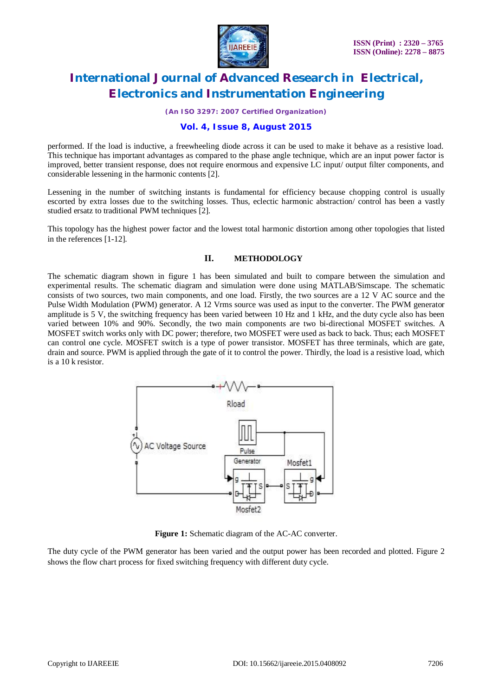

*(An ISO 3297: 2007 Certified Organization)*

### **Vol. 4, Issue 8, August 2015**

performed. If the load is inductive, a freewheeling diode across it can be used to make it behave as a resistive load. This technique has important advantages as compared to the phase angle technique, which are an input power factor is improved, better transient response, does not require enormous and expensive LC input/ output filter components, and considerable lessening in the harmonic contents [2].

Lessening in the number of switching instants is fundamental for efficiency because chopping control is usually escorted by extra losses due to the switching losses. Thus, eclectic harmonic abstraction/ control has been a vastly studied ersatz to traditional PWM techniques [2].

This topology has the highest power factor and the lowest total harmonic distortion among other topologies that listed in the references [1-12].

#### **II. METHODOLOGY**

The schematic diagram shown in figure 1 has been simulated and built to compare between the simulation and experimental results. The schematic diagram and simulation were done using MATLAB/Simscape. The schematic consists of two sources, two main components, and one load. Firstly, the two sources are a 12 V AC source and the Pulse Width Modulation (PWM) generator. A 12 Vrms source was used as input to the converter. The PWM generator amplitude is 5 V, the switching frequency has been varied between 10 Hz and 1 kHz, and the duty cycle also has been varied between 10% and 90%. Secondly, the two main components are two bi-directional MOSFET switches. A MOSFET switch works only with DC power; therefore, two MOSFET were used as back to back. Thus; each MOSFET can control one cycle. MOSFET switch is a type of power transistor. MOSFET has three terminals, which are gate, drain and source. PWM is applied through the gate of it to control the power. Thirdly, the load is a resistive load, which is a 10 k resistor.



**Figure 1:** Schematic diagram of the AC-AC converter.

The duty cycle of the PWM generator has been varied and the output power has been recorded and plotted. Figure 2 shows the flow chart process for fixed switching frequency with different duty cycle.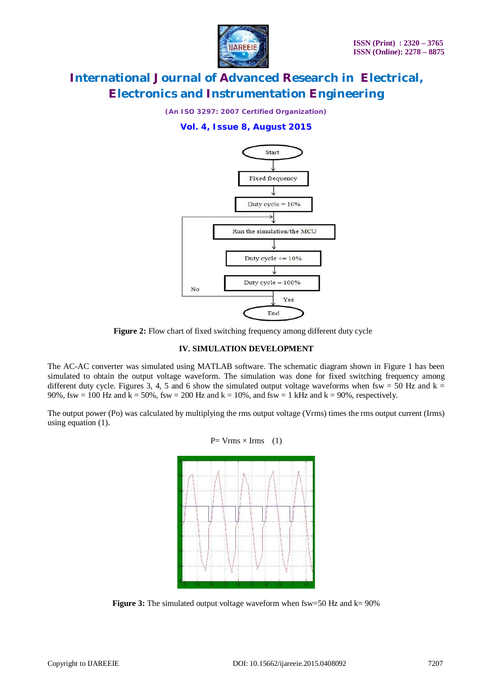

*(An ISO 3297: 2007 Certified Organization)*

### **Vol. 4, Issue 8, August 2015**



**Figure 2:** Flow chart of fixed switching frequency among different duty cycle

### **IV. SIMULATION DEVELOPMENT**

The AC-AC converter was simulated using MATLAB software. The schematic diagram shown in Figure 1 has been simulated to obtain the output voltage waveform. The simulation was done for fixed switching frequency among different duty cycle. Figures 3, 4, 5 and 6 show the simulated output voltage waveforms when fsw = 50 Hz and  $k =$ 90%, fsw = 100 Hz and  $k = 50$ %, fsw = 200 Hz and  $k = 10$ %, and fsw = 1 kHz and  $k = 90$ %, respectively.

The output power (Po) was calculated by multiplying the rms output voltage (Vrms) times the rms output current (Irms) using equation (1).



**Figure 3:** The simulated output voltage waveform when fsw=50 Hz and k= 90%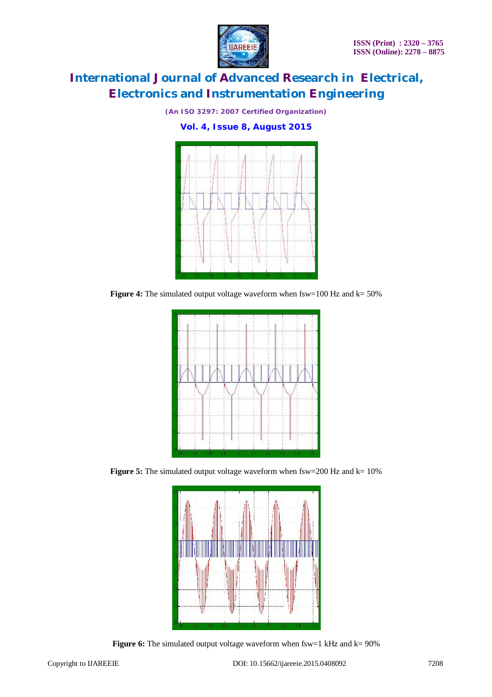

*(An ISO 3297: 2007 Certified Organization)*

**Vol. 4, Issue 8, August 2015**



**Figure 4:** The simulated output voltage waveform when fsw=100 Hz and k= 50%



**Figure 5:** The simulated output voltage waveform when  $fsw = 200$  Hz and  $k = 10\%$ 



**Figure 6:** The simulated output voltage waveform when fsw=1 kHz and k= 90%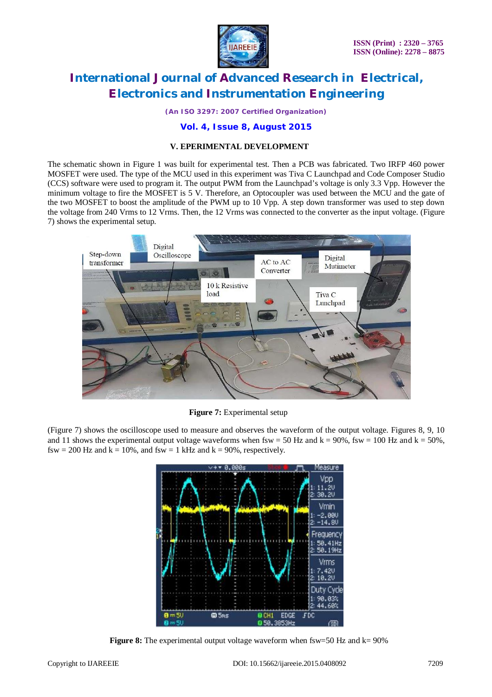

*(An ISO 3297: 2007 Certified Organization)*

#### **Vol. 4, Issue 8, August 2015**

#### **V. EPERIMENTAL DEVELOPMENT**

The schematic shown in Figure 1 was built for experimental test. Then a PCB was fabricated. Two IRFP 460 power MOSFET were used. The type of the MCU used in this experiment was Tiva C Launchpad and Code Composer Studio (CCS) software were used to program it. The output PWM from the Launchpad's voltage is only 3.3 Vpp. However the minimum voltage to fire the MOSFET is 5 V. Therefore, an Optocoupler was used between the MCU and the gate of the two MOSFET to boost the amplitude of the PWM up to 10 Vpp. A step down transformer was used to step down the voltage from 240 Vrms to 12 Vrms. Then, the 12 Vrms was connected to the converter as the input voltage. (Figure 7) shows the experimental setup.



**Figure 7:** Experimental setup

(Figure 7) shows the oscilloscope used to measure and observes the waveform of the output voltage. Figures 8, 9, 10 and 11 shows the experimental output voltage waveforms when fsw = 50 Hz and k = 90%, fsw = 100 Hz and k = 50%,  $f_{sw} = 200$  Hz and  $k = 10\%$ , and  $f_{sw} = 1$  kHz and  $k = 90\%$ , respectively.



**Figure 8:** The experimental output voltage waveform when  $f_{sw}=50$  Hz and  $k=90\%$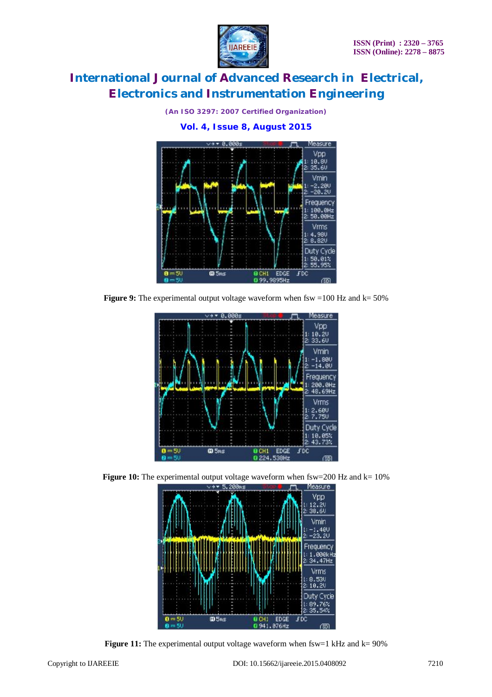



*(An ISO 3297: 2007 Certified Organization)*

**Figure 9:** The experimental output voltage waveform when  $fsw = 100$  Hz and  $k = 50%$ 



**Figure 10:** The experimental output voltage waveform when  $fsw=200$  Hz and  $k=10%$ 



**Figure 11:** The experimental output voltage waveform when fsw=1 kHz and k= 90%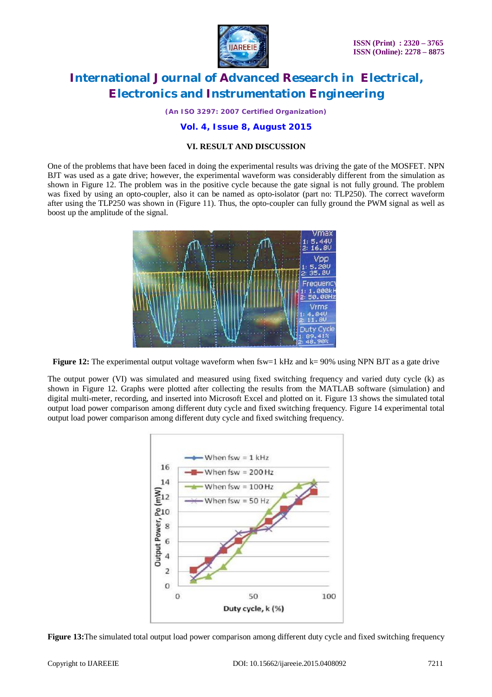

*(An ISO 3297: 2007 Certified Organization)*

#### **Vol. 4, Issue 8, August 2015**

#### **VI. RESULT AND DISCUSSION**

One of the problems that have been faced in doing the experimental results was driving the gate of the MOSFET. NPN BJT was used as a gate drive; however, the experimental waveform was considerably different from the simulation as shown in Figure 12. The problem was in the positive cycle because the gate signal is not fully ground. The problem was fixed by using an opto-coupler, also it can be named as opto-isolator (part no: TLP250). The correct waveform after using the TLP250 was shown in (Figure 11). Thus, the opto-coupler can fully ground the PWM signal as well as boost up the amplitude of the signal.



**Figure 12:** The experimental output voltage waveform when fsw=1 kHz and k= 90% using NPN BJT as a gate drive

The output power (VI) was simulated and measured using fixed switching frequency and varied duty cycle (k) as shown in Figure 12. Graphs were plotted after collecting the results from the MATLAB software (simulation) and digital multi-meter, recording, and inserted into Microsoft Excel and plotted on it. Figure 13 shows the simulated total output load power comparison among different duty cycle and fixed switching frequency. Figure 14 experimental total output load power comparison among different duty cycle and fixed switching frequency.



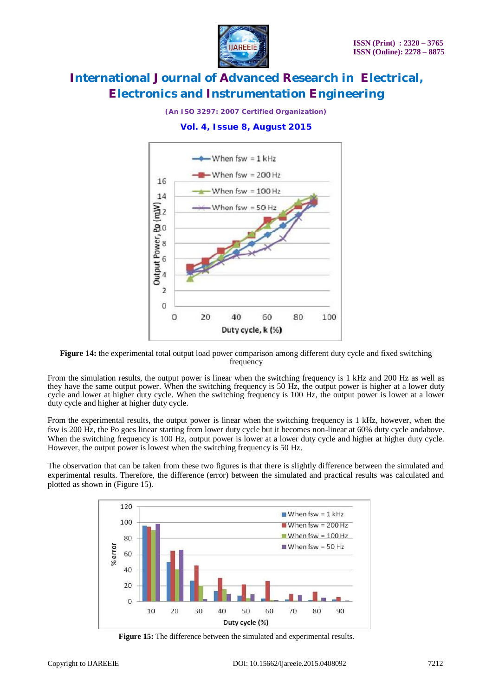

#### *(An ISO 3297: 2007 Certified Organization)*

### **Vol. 4, Issue 8, August 2015**



**Figure 14:** the experimental total output load power comparison among different duty cycle and fixed switching frequency

From the simulation results, the output power is linear when the switching frequency is 1 kHz and 200 Hz as well as they have the same output power. When the switching frequency is 50 Hz, the output power is higher at a lower duty cycle and lower at higher duty cycle. When the switching frequency is 100 Hz, the output power is lower at a lower duty cycle and higher at higher duty cycle.

From the experimental results, the output power is linear when the switching frequency is 1 kHz, however, when the fsw is 200 Hz, the Po goes linear starting from lower duty cycle but it becomes non-linear at 60% duty cycle andabove. When the switching frequency is 100 Hz, output power is lower at a lower duty cycle and higher at higher duty cycle. However, the output power is lowest when the switching frequency is 50 Hz.

The observation that can be taken from these two figures is that there is slightly difference between the simulated and experimental results. Therefore, the difference (error) between the simulated and practical results was calculated and plotted as shown in (Figure 15).



**Figure 15:** The difference between the simulated and experimental results.